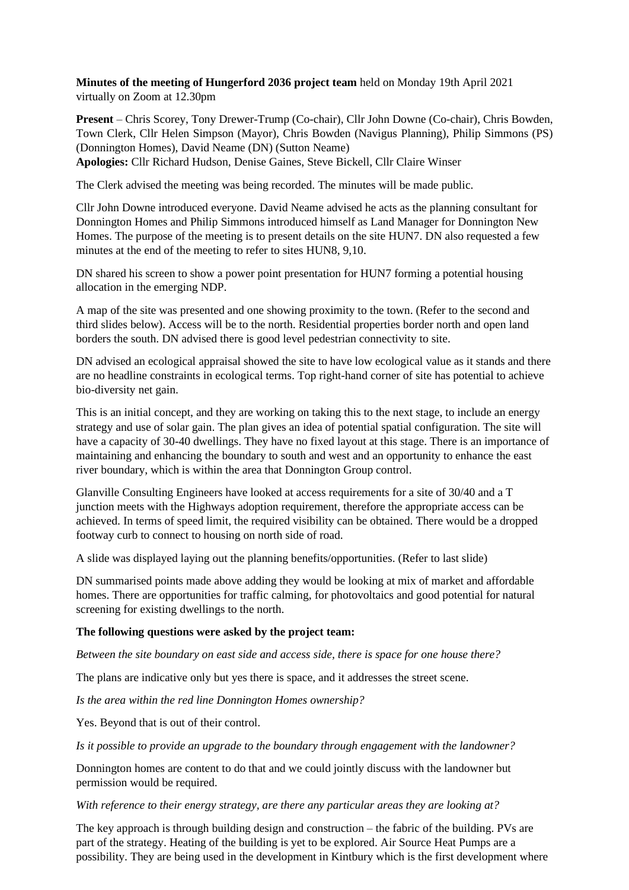**Minutes of the meeting of Hungerford 2036 project team** held on Monday 19th April 2021 virtually on Zoom at 12.30pm

**Present** – Chris Scorey, Tony Drewer-Trump (Co-chair), Cllr John Downe (Co-chair), Chris Bowden, Town Clerk, Cllr Helen Simpson (Mayor), Chris Bowden (Navigus Planning), Philip Simmons (PS) (Donnington Homes), David Neame (DN) (Sutton Neame)

**Apologies:** Cllr Richard Hudson, Denise Gaines, Steve Bickell, Cllr Claire Winser

The Clerk advised the meeting was being recorded. The minutes will be made public.

Cllr John Downe introduced everyone. David Neame advised he acts as the planning consultant for Donnington Homes and Philip Simmons introduced himself as Land Manager for Donnington New Homes. The purpose of the meeting is to present details on the site HUN7. DN also requested a few minutes at the end of the meeting to refer to sites HUN8, 9,10.

DN shared his screen to show a power point presentation for HUN7 forming a potential housing allocation in the emerging NDP.

A map of the site was presented and one showing proximity to the town. (Refer to the second and third slides below). Access will be to the north. Residential properties border north and open land borders the south. DN advised there is good level pedestrian connectivity to site.

DN advised an ecological appraisal showed the site to have low ecological value as it stands and there are no headline constraints in ecological terms. Top right-hand corner of site has potential to achieve bio-diversity net gain.

This is an initial concept, and they are working on taking this to the next stage, to include an energy strategy and use of solar gain. The plan gives an idea of potential spatial configuration. The site will have a capacity of 30-40 dwellings. They have no fixed layout at this stage. There is an importance of maintaining and enhancing the boundary to south and west and an opportunity to enhance the east river boundary, which is within the area that Donnington Group control.

Glanville Consulting Engineers have looked at access requirements for a site of 30/40 and a T junction meets with the Highways adoption requirement, therefore the appropriate access can be achieved. In terms of speed limit, the required visibility can be obtained. There would be a dropped footway curb to connect to housing on north side of road.

A slide was displayed laying out the planning benefits/opportunities. (Refer to last slide)

DN summarised points made above adding they would be looking at mix of market and affordable homes. There are opportunities for traffic calming, for photovoltaics and good potential for natural screening for existing dwellings to the north.

### **The following questions were asked by the project team:**

*Between the site boundary on east side and access side, there is space for one house there?*

The plans are indicative only but yes there is space, and it addresses the street scene.

*Is the area within the red line Donnington Homes ownership?*

Yes. Beyond that is out of their control.

*Is it possible to provide an upgrade to the boundary through engagement with the landowner?*

Donnington homes are content to do that and we could jointly discuss with the landowner but permission would be required.

*With reference to their energy strategy, are there any particular areas they are looking at?*

The key approach is through building design and construction – the fabric of the building. PVs are part of the strategy. Heating of the building is yet to be explored. Air Source Heat Pumps are a possibility. They are being used in the development in Kintbury which is the first development where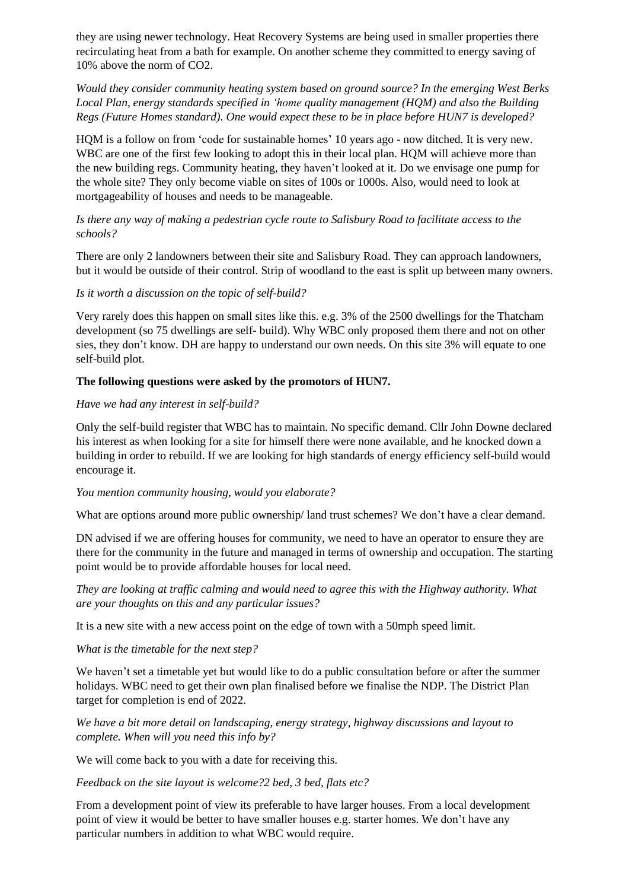they are using newer technology. Heat Recovery Systems are being used in smaller properties there recirculating heat from a bath for example. On another scheme they committed to energy saving of 10% above the norm of CO2.

*Would they consider community heating system based on ground source? In the emerging West Berks Local Plan, energy standards specified in 'home quality management (HQM) and also the Building Regs (Future Homes standard). One would expect these to be in place before HUN7 is developed?*

HQM is a follow on from 'code for sustainable homes' 10 years ago - now ditched. It is very new. WBC are one of the first few looking to adopt this in their local plan. HQM will achieve more than the new building regs. Community heating, they haven't looked at it. Do we envisage one pump for the whole site? They only become viable on sites of 100s or 1000s. Also, would need to look at mortgageability of houses and needs to be manageable.

## *Is there any way of making a pedestrian cycle route to Salisbury Road to facilitate access to the schools?*

There are only 2 landowners between their site and Salisbury Road. They can approach landowners, but it would be outside of their control. Strip of woodland to the east is split up between many owners.

# *Is it worth a discussion on the topic of self-build?*

Very rarely does this happen on small sites like this. e.g. 3% of the 2500 dwellings for the Thatcham development (so 75 dwellings are self- build). Why WBC only proposed them there and not on other sies, they don't know. DH are happy to understand our own needs. On this site 3% will equate to one self-build plot.

# **The following questions were asked by the promotors of HUN7.**

## *Have we had any interest in self-build?*

Only the self-build register that WBC has to maintain. No specific demand. Cllr John Downe declared his interest as when looking for a site for himself there were none available, and he knocked down a building in order to rebuild. If we are looking for high standards of energy efficiency self-build would encourage it.

### *You mention community housing, would you elaborate?*

What are options around more public ownership/land trust schemes? We don't have a clear demand.

DN advised if we are offering houses for community, we need to have an operator to ensure they are there for the community in the future and managed in terms of ownership and occupation. The starting point would be to provide affordable houses for local need.

*They are looking at traffic calming and would need to agree this with the Highway authority. What are your thoughts on this and any particular issues?*

It is a new site with a new access point on the edge of town with a 50mph speed limit.

### *What is the timetable for the next step?*

We haven't set a timetable yet but would like to do a public consultation before or after the summer holidays. WBC need to get their own plan finalised before we finalise the NDP. The District Plan target for completion is end of 2022.

*We have a bit more detail on landscaping, energy strategy, highway discussions and layout to complete. When will you need this info by?*

We will come back to you with a date for receiving this.

*Feedback on the site layout is welcome?2 bed, 3 bed, flats etc?*

From a development point of view its preferable to have larger houses. From a local development point of view it would be better to have smaller houses e.g. starter homes. We don't have any particular numbers in addition to what WBC would require.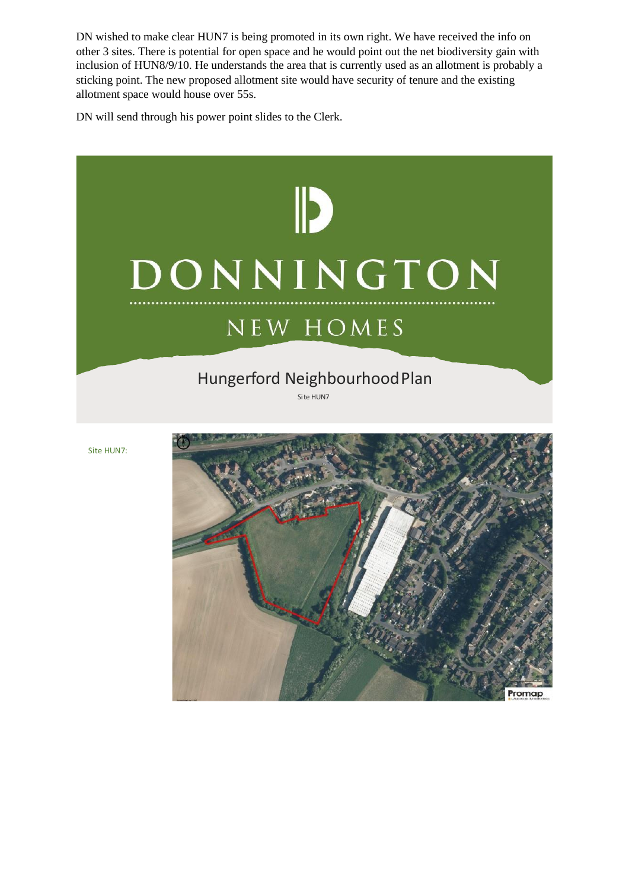DN wished to make clear HUN7 is being promoted in its own right. We have received the info on other 3 sites. There is potential for open space and he would point out the net biodiversity gain with inclusion of HUN8/9/10. He understands the area that is currently used as an allotment is probably a sticking point. The new proposed allotment site would have security of tenure and the existing allotment space would house over 55s.

DN will send through his power point slides to the Clerk.

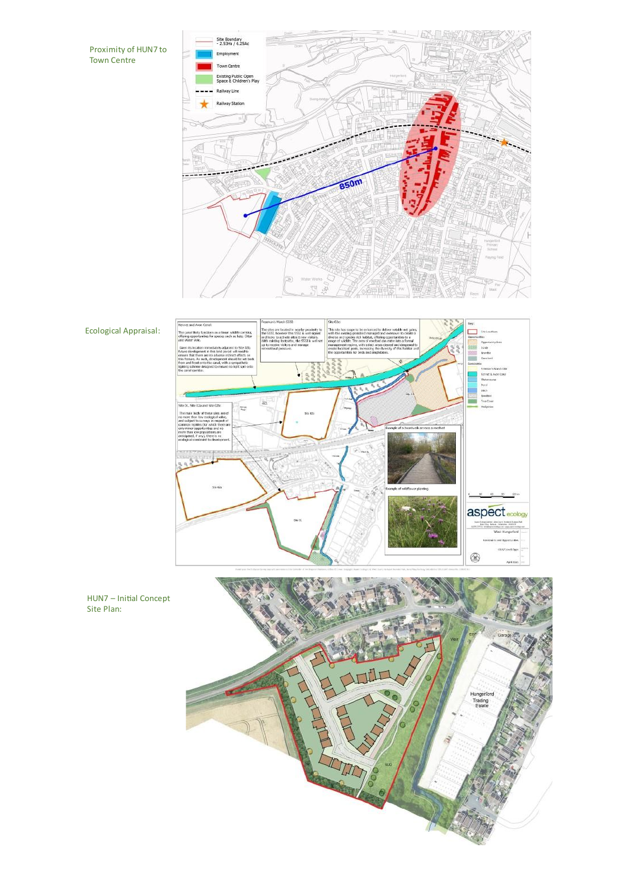Proximity of HUN7 to<br>Town Centre







Ecological Appraisal:

Site Plan: